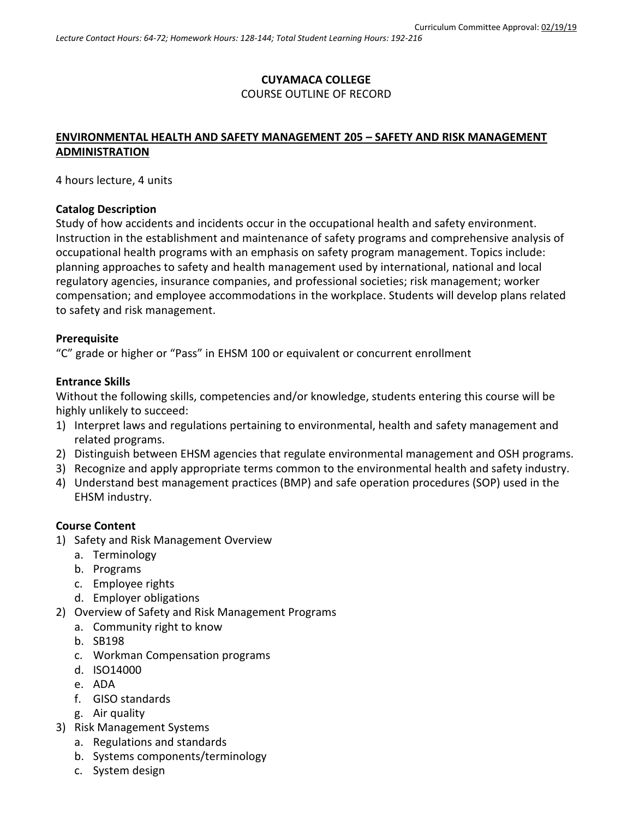# **CUYAMACA COLLEGE** COURSE OUTLINE OF RECORD

# **ENVIRONMENTAL HEALTH AND SAFETY MANAGEMENT 205 – SAFETY AND RISK MANAGEMENT ADMINISTRATION**

4 hours lecture, 4 units

#### **Catalog Description**

Study of how accidents and incidents occur in the occupational health and safety environment. Instruction in the establishment and maintenance of safety programs and comprehensive analysis of occupational health programs with an emphasis on safety program management. Topics include: planning approaches to safety and health management used by international, national and local regulatory agencies, insurance companies, and professional societies; risk management; worker compensation; and employee accommodations in the workplace. Students will develop plans related to safety and risk management.

#### **Prerequisite**

"C" grade or higher or "Pass" in EHSM 100 or equivalent or concurrent enrollment

#### **Entrance Skills**

Without the following skills, competencies and/or knowledge, students entering this course will be highly unlikely to succeed:

- 1) Interpret laws and regulations pertaining to environmental, health and safety management and related programs.
- 2) Distinguish between EHSM agencies that regulate environmental management and OSH programs.
- 3) Recognize and apply appropriate terms common to the environmental health and safety industry.
- 4) Understand best management practices (BMP) and safe operation procedures (SOP) used in the EHSM industry.

### **Course Content**

- 1) Safety and Risk Management Overview
	- a. Terminology
	- b. Programs
	- c. Employee rights
	- d. Employer obligations
- 2) Overview of Safety and Risk Management Programs
	- a. Community right to know
	- b. SB198
	- c. Workman Compensation programs
	- d. ISO14000
	- e. ADA
	- f. GISO standards
	- g. Air quality
- 3) Risk Management Systems
	- a. Regulations and standards
	- b. Systems components/terminology
	- c. System design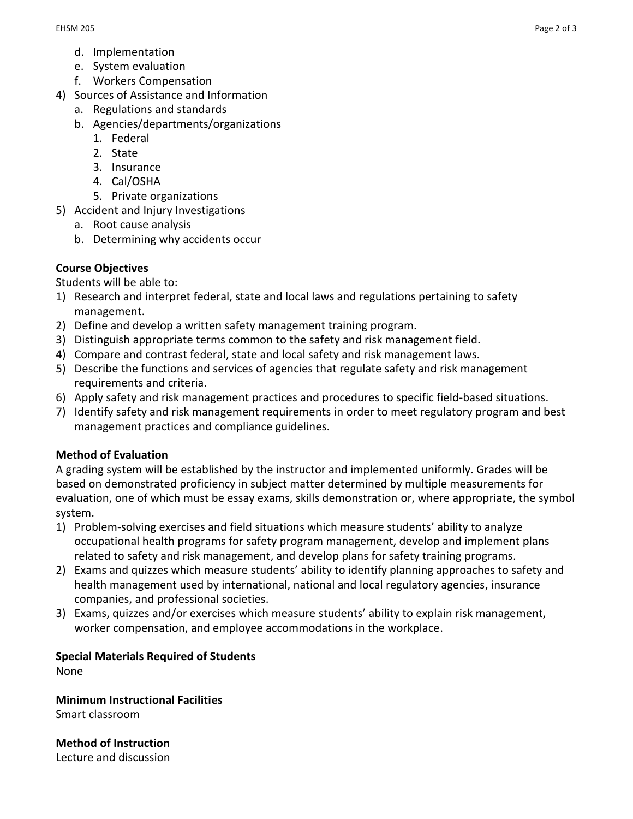- d. Implementation
- e. System evaluation
- f. Workers Compensation
- 4) Sources of Assistance and Information
	- a. Regulations and standards
	- b. Agencies/departments/organizations
		- 1. Federal
		- 2. State
		- 3. Insurance
		- 4. Cal/OSHA
		- 5. Private organizations
- 5) Accident and Injury Investigations
	- a. Root cause analysis
	- b. Determining why accidents occur

## **Course Objectives**

Students will be able to:

- 1) Research and interpret federal, state and local laws and regulations pertaining to safety management.
- 2) Define and develop a written safety management training program.
- 3) Distinguish appropriate terms common to the safety and risk management field.
- 4) Compare and contrast federal, state and local safety and risk management laws.
- 5) Describe the functions and services of agencies that regulate safety and risk management requirements and criteria.
- 6) Apply safety and risk management practices and procedures to specific field-based situations.
- 7) Identify safety and risk management requirements in order to meet regulatory program and best management practices and compliance guidelines.

### **Method of Evaluation**

A grading system will be established by the instructor and implemented uniformly. Grades will be based on demonstrated proficiency in subject matter determined by multiple measurements for evaluation, one of which must be essay exams, skills demonstration or, where appropriate, the symbol system.

- 1) Problem-solving exercises and field situations which measure students' ability to analyze occupational health programs for safety program management, develop and implement plans related to safety and risk management, and develop plans for safety training programs.
- 2) Exams and quizzes which measure students' ability to identify planning approaches to safety and health management used by international, national and local regulatory agencies, insurance companies, and professional societies.
- 3) Exams, quizzes and/or exercises which measure students' ability to explain risk management, worker compensation, and employee accommodations in the workplace.

# **Special Materials Required of Students**

None

**Minimum Instructional Facilities** Smart classroom

**Method of Instruction** Lecture and discussion